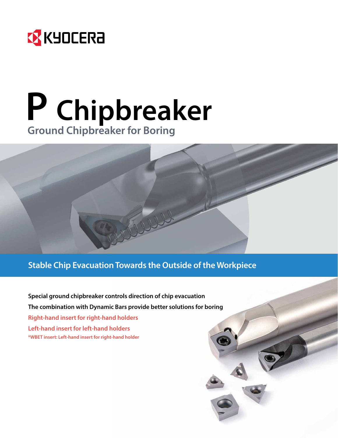

# **P Chipbreaker Ground Chipbreaker for Boring**

## **Stable Chip Evacuation Towards the Outside of the Workpiece**

**Special ground chipbreaker controls direction of chip evacuation The combination with Dynamic Bars provide better solutions for boring Right-hand insert for right-hand holders Left-hand insert for left-hand holders \*WBET insert: Left-hand insert for right-hand holder**